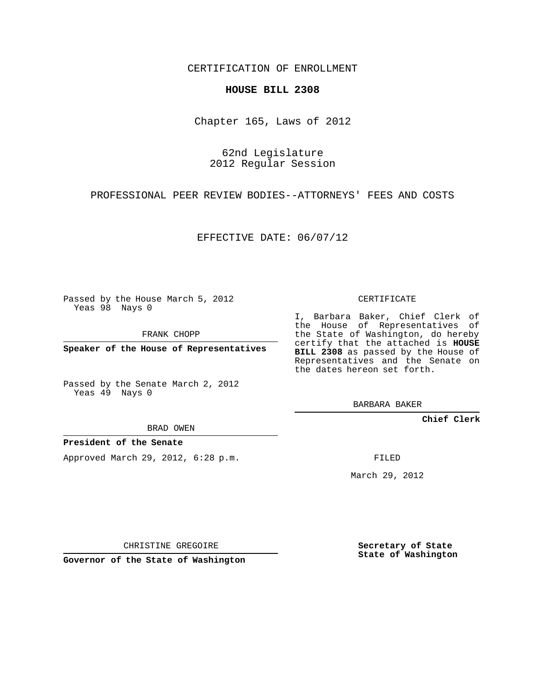CERTIFICATION OF ENROLLMENT

#### **HOUSE BILL 2308**

Chapter 165, Laws of 2012

62nd Legislature 2012 Regular Session

PROFESSIONAL PEER REVIEW BODIES--ATTORNEYS' FEES AND COSTS

EFFECTIVE DATE: 06/07/12

Passed by the House March 5, 2012 Yeas 98 Nays 0

FRANK CHOPP

**Speaker of the House of Representatives**

Passed by the Senate March 2, 2012 Yeas 49 Nays 0

BRAD OWEN

### **President of the Senate**

Approved March 29, 2012, 6:28 p.m.

CERTIFICATE

I, Barbara Baker, Chief Clerk of the House of Representatives of the State of Washington, do hereby certify that the attached is **HOUSE BILL 2308** as passed by the House of Representatives and the Senate on the dates hereon set forth.

BARBARA BAKER

**Chief Clerk**

FILED

March 29, 2012

**Secretary of State State of Washington**

**Governor of the State of Washington**

CHRISTINE GREGOIRE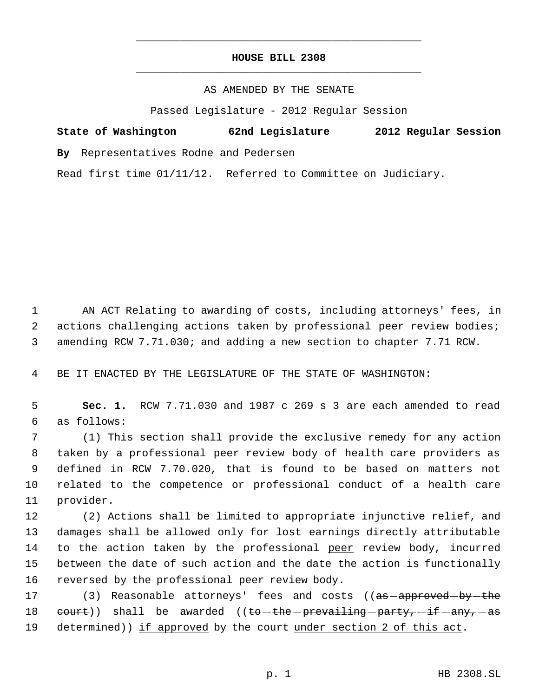# **HOUSE BILL 2308** \_\_\_\_\_\_\_\_\_\_\_\_\_\_\_\_\_\_\_\_\_\_\_\_\_\_\_\_\_\_\_\_\_\_\_\_\_\_\_\_\_\_\_\_\_

\_\_\_\_\_\_\_\_\_\_\_\_\_\_\_\_\_\_\_\_\_\_\_\_\_\_\_\_\_\_\_\_\_\_\_\_\_\_\_\_\_\_\_\_\_

#### AS AMENDED BY THE SENATE

Passed Legislature - 2012 Regular Session

# **State of Washington 62nd Legislature 2012 Regular Session**

**By** Representatives Rodne and Pedersen

Read first time 01/11/12. Referred to Committee on Judiciary.

 1 AN ACT Relating to awarding of costs, including attorneys' fees, in 2 actions challenging actions taken by professional peer review bodies; 3 amending RCW 7.71.030; and adding a new section to chapter 7.71 RCW.

4 BE IT ENACTED BY THE LEGISLATURE OF THE STATE OF WASHINGTON:

 5 **Sec. 1.** RCW 7.71.030 and 1987 c 269 s 3 are each amended to read 6 as follows:

 (1) This section shall provide the exclusive remedy for any action taken by a professional peer review body of health care providers as defined in RCW 7.70.020, that is found to be based on matters not related to the competence or professional conduct of a health care provider.

 (2) Actions shall be limited to appropriate injunctive relief, and damages shall be allowed only for lost earnings directly attributable 14 to the action taken by the professional peer review body, incurred between the date of such action and the date the action is functionally reversed by the professional peer review body.

17 (3) Reasonable attorneys' fees and costs ((<del>as approved by the</del> 18 court)) shall be awarded ((to-the-prevailing-party,-if-any,-as 19 determined)) if approved by the court under section 2 of this act.